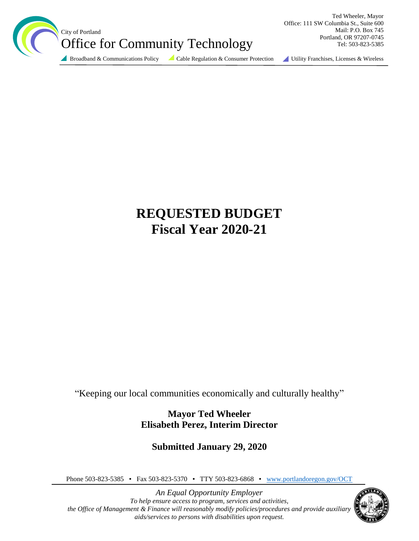

Ted Wheeler, Mayor Office: 111 SW Columbia St., Suite 600 Mail: P.O. Box 745 Portland, OR 97207-0745 Tel: 503-823-5385

## **REQUESTED BUDGET Fiscal Year 2020-21**

"Keeping our local communities economically and culturally healthy"

**Mayor Ted Wheeler Elisabeth Perez, Interim Director**

**Submitted January 29, 2020**

Phone 503-823-5385 • Fax 503-823-5370 • TTY 503-823-6868 • [www.portlandoregon.gov/OCT](http://www.portlandoregon.gov/OCT)

*An Equal Opportunity Employer To help ensure access to program, services and activities, the Office of Management & Finance will reasonably modify policies/procedures and provide auxiliary aids/services to persons with disabilities upon request.*

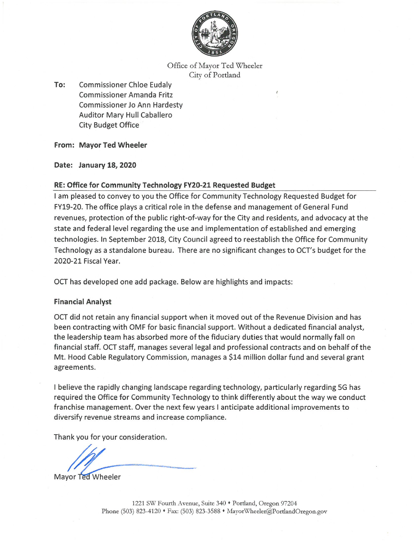

Office of Mayor Ted Wheeler City of Portland

To: **Commissioner Chloe Eudaly Commissioner Amanda Fritz Commissioner Jo Ann Hardesty Auditor Mary Hull Caballero City Budget Office** 

#### From: Mayor Ted Wheeler

Date: January 18, 2020

#### RE: Office for Community Technology FY20-21 Requested Budget

I am pleased to convey to you the Office for Community Technology Requested Budget for FY19-20. The office plays a critical role in the defense and management of General Fund revenues, protection of the public right-of-way for the City and residents, and advocacy at the state and federal level regarding the use and implementation of established and emerging technologies. In September 2018, City Council agreed to reestablish the Office for Community Technology as a standalone bureau. There are no significant changes to OCT's budget for the 2020-21 Fiscal Year.

OCT has developed one add package. Below are highlights and impacts:

#### **Financial Analyst**

OCT did not retain any financial support when it moved out of the Revenue Division and has been contracting with OMF for basic financial support. Without a dedicated financial analyst, the leadership team has absorbed more of the fiduciary duties that would normally fall on financial staff. OCT staff, manages several legal and professional contracts and on behalf of the Mt. Hood Cable Regulatory Commission, manages a \$14 million dollar fund and several grant agreements.

I believe the rapidly changing landscape regarding technology, particularly regarding 5G has required the Office for Community Technology to think differently about the way we conduct franchise management. Over the next few years I anticipate additional improvements to diversify revenue streams and increase compliance.

Thank you for your consideration.

Mayor Ted Wheeler

1221 SW Fourth Avenue, Suite 340 • Portland, Oregon 97204 Phone (503) 823-4120 • Fax: (503) 823-3588 • MayorWheeler@PortlandOregon.gov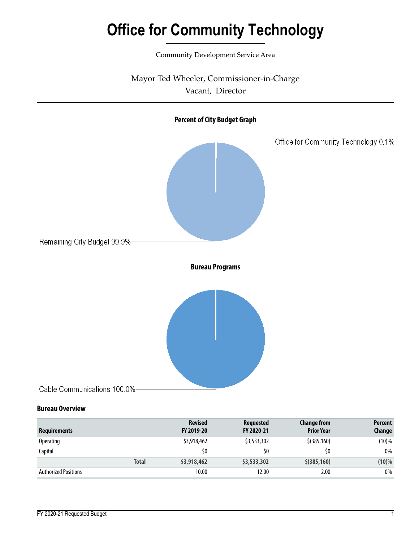# **Office for Community Technology**

Community Development Service Area

Mayor Ted Wheeler, Commissioner-in-Charge Vacant, Director



#### **Bureau Overview**

| Requirements                |              | <b>Revised</b><br>FY 2019-20 | Requested<br>FY 2020-21 | <b>Change from</b><br><b>Prior Year</b> | <b>Percent</b><br>Change |
|-----------------------------|--------------|------------------------------|-------------------------|-----------------------------------------|--------------------------|
| <b>Operating</b>            |              | \$3,918,462                  | \$3,533,302             | $$$ (385,160)                           | $(10)\%$                 |
| Capital                     |              | \$0                          | \$0                     | \$0                                     | 0%                       |
|                             | <b>Total</b> | \$3,918,462                  | \$3,533,302             | $$$ (385,160)                           | $(10)\%$                 |
| <b>Authorized Positions</b> |              | 10.00                        | 12.00                   | 2.00                                    | 0%                       |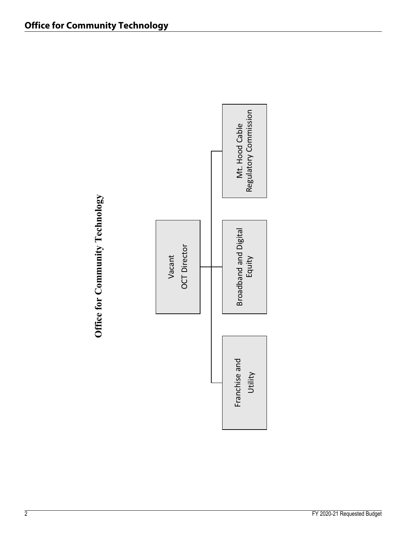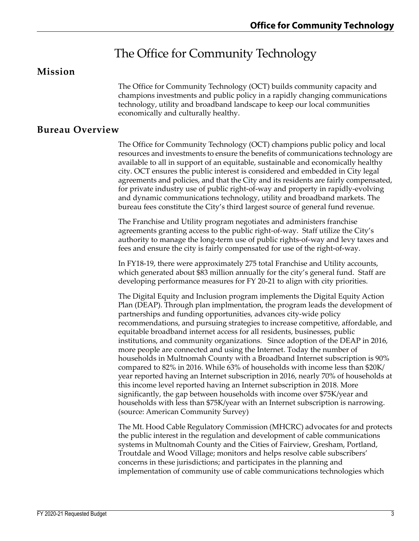## The Office for Community Technology

### **Mission**

The Office for Community Technology (OCT) builds community capacity and champions investments and public policy in a rapidly changing communications technology, utility and broadband landscape to keep our local communities economically and culturally healthy.

### **Bureau Overview**

The Office for Community Technology (OCT) champions public policy and local resources and investments to ensure the benefits of communications technology are available to all in support of an equitable, sustainable and economically healthy city. OCT ensures the public interest is considered and embedded in City legal agreements and policies, and that the City and its residents are fairly compensated, for private industry use of public right-of-way and property in rapidly-evolving and dynamic communications technology, utility and broadband markets. The bureau fees constitute the City's third largest source of general fund revenue.

The Franchise and Utility program negotiates and administers franchise agreements granting access to the public right-of-way. Staff utilize the City's authority to manage the long-term use of public rights-of-way and levy taxes and fees and ensure the city is fairly compensated for use of the right-of-way.

In FY18-19, there were approximately 275 total Franchise and Utility accounts, which generated about \$83 million annually for the city's general fund. Staff are developing performance measures for FY 20-21 to align with city priorities.

The Digital Equity and Inclusion program implements the Digital Equity Action Plan (DEAP). Through plan implmentation, the program leads the development of partnerships and funding opportunities, advances city-wide policy recommendations, and pursuing strategies to increase competitive, affordable, and equitable broadband internet access for all residents, businesses, public institutions, and community organizations. Since adoption of the DEAP in 2016, more people are connected and using the Internet. Today the number of households in Multnomah County with a Broadband Internet subscription is 90% compared to 82% in 2016. While 63% of households with income less than \$20K/ year reported having an Internet subscription in 2016, nearly 70% of households at this income level reported having an Internet subscription in 2018. More significantly, the gap between households with income over \$75K/year and households with less than \$75K/year with an Internet subscription is narrowing. (source: American Community Survey)

The Mt. Hood Cable Regulatory Commission (MHCRC) advocates for and protects the public interest in the regulation and development of cable communications systems in Multnomah County and the Cities of Fairview, Gresham, Portland, Troutdale and Wood Village; monitors and helps resolve cable subscribers' concerns in these jurisdictions; and participates in the planning and implementation of community use of cable communications technologies which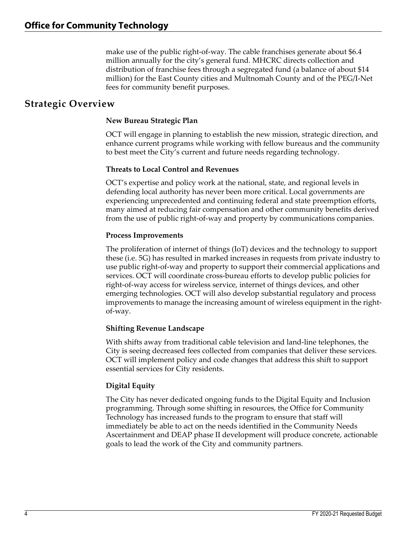make use of the public right-of-way. The cable franchises generate about \$6.4 million annually for the city's general fund. MHCRC directs collection and distribution of franchise fees through a segregated fund (a balance of about \$14 million) for the East County cities and Multnomah County and of the PEG/I-Net fees for community benefit purposes.

### **Strategic Overview**

#### **New Bureau Strategic Plan**

OCT will engage in planning to establish the new mission, strategic direction, and enhance current programs while working with fellow bureaus and the community to best meet the City's current and future needs regarding technology.

#### **Threats to Local Control and Revenues**

OCT's expertise and policy work at the national, state, and regional levels in defending local authority has never been more critical. Local governments are experiencing unprecedented and continuing federal and state preemption efforts, many aimed at reducing fair compensation and other community benefits derived from the use of public right-of-way and property by communications companies.

#### **Process Improvements**

The proliferation of internet of things (IoT) devices and the technology to support these (i.e. 5G) has resulted in marked increases in requests from private industry to use public right-of-way and property to support their commercial applications and services. OCT will coordinate cross-bureau efforts to develop public policies for right-of-way access for wireless service, internet of things devices, and other emerging technologies. OCT will also develop substantial regulatory and process improvements to manage the increasing amount of wireless equipment in the rightof-way.

### **Shifting Revenue Landscape**

With shifts away from traditional cable television and land-line telephones, the City is seeing decreased fees collected from companies that deliver these services. OCT will implement policy and code changes that address this shift to support essential services for City residents.

### **Digital Equity**

The City has never dedicated ongoing funds to the Digital Equity and Inclusion programming. Through some shifting in resources, the Office for Community Technology has increased funds to the program to ensure that staff will immediately be able to act on the needs identified in the Community Needs Ascertainment and DEAP phase II development will produce concrete, actionable goals to lead the work of the City and community partners.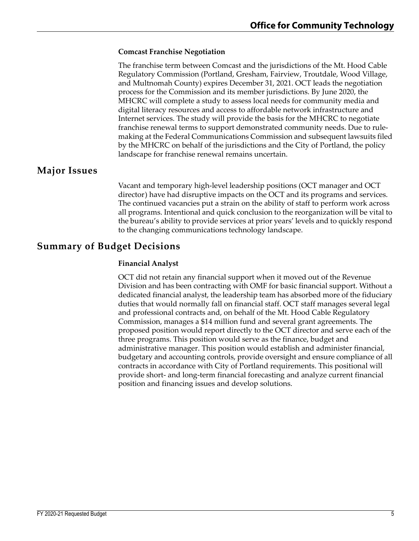#### **Comcast Franchise Negotiation**

The franchise term between Comcast and the jurisdictions of the Mt. Hood Cable Regulatory Commission (Portland, Gresham, Fairview, Troutdale, Wood Village, and Multnomah County) expires December 31, 2021. OCT leads the negotiation process for the Commission and its member jurisdictions. By June 2020, the MHCRC will complete a study to assess local needs for community media and digital literacy resources and access to affordable network infrastructure and Internet services. The study will provide the basis for the MHCRC to negotiate franchise renewal terms to support demonstrated community needs. Due to rulemaking at the Federal Communications Commission and subsequent lawsuits filed by the MHCRC on behalf of the jurisdictions and the City of Portland, the policy landscape for franchise renewal remains uncertain.

### **Major Issues**

Vacant and temporary high-level leadership positions (OCT manager and OCT director) have had disruptive impacts on the OCT and its programs and services. The continued vacancies put a strain on the ability of staff to perform work across all programs. Intentional and quick conclusion to the reorganization will be vital to the bureau's ability to provide services at prior years' levels and to quickly respond to the changing communications technology landscape.

### **Summary of Budget Decisions**

#### **Financial Analyst**

OCT did not retain any financial support when it moved out of the Revenue Division and has been contracting with OMF for basic financial support. Without a dedicated financial analyst, the leadership team has absorbed more of the fiduciary duties that would normally fall on financial staff. OCT staff manages several legal and professional contracts and, on behalf of the Mt. Hood Cable Regulatory Commission, manages a \$14 million fund and several grant agreements. The proposed position would report directly to the OCT director and serve each of the three programs. This position would serve as the finance, budget and administrative manager. This position would establish and administer financial, budgetary and accounting controls, provide oversight and ensure compliance of all contracts in accordance with City of Portland requirements. This positional will provide short- and long-term financial forecasting and analyze current financial position and financing issues and develop solutions.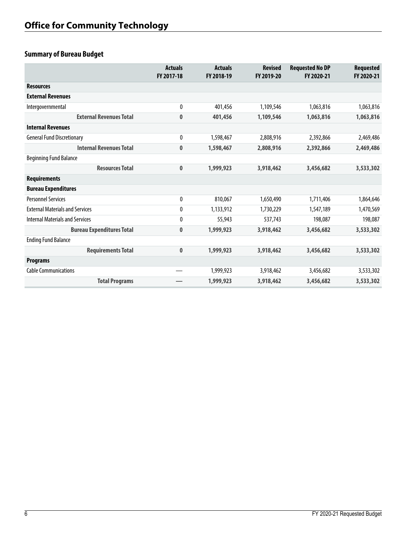### **Summary of Bureau Budget**

|                                        | <b>Actuals</b><br>FY 2017-18 | <b>Actuals</b><br>FY 2018-19 | <b>Revised</b><br>FY 2019-20 | <b>Requested No DP</b><br>FY 2020-21 | <b>Requested</b><br>FY 2020-21 |
|----------------------------------------|------------------------------|------------------------------|------------------------------|--------------------------------------|--------------------------------|
| <b>Resources</b>                       |                              |                              |                              |                                      |                                |
| <b>External Revenues</b>               |                              |                              |                              |                                      |                                |
| Intergovernmental                      | 0                            | 401,456                      | 1,109,546                    | 1,063,816                            | 1,063,816                      |
| <b>External Revenues Total</b>         | $\bf{0}$                     | 401,456                      | 1,109,546                    | 1,063,816                            | 1,063,816                      |
| <b>Internal Revenues</b>               |                              |                              |                              |                                      |                                |
| <b>General Fund Discretionary</b>      | 0                            | 1,598,467                    | 2,808,916                    | 2,392,866                            | 2,469,486                      |
| <b>Internal Revenues Total</b>         | $\bf{0}$                     | 1,598,467                    | 2,808,916                    | 2,392,866                            | 2,469,486                      |
| <b>Beginning Fund Balance</b>          |                              |                              |                              |                                      |                                |
| <b>Resources Total</b>                 | $\bf{0}$                     | 1,999,923                    | 3,918,462                    | 3,456,682                            | 3,533,302                      |
| <b>Requirements</b>                    |                              |                              |                              |                                      |                                |
| <b>Bureau Expenditures</b>             |                              |                              |                              |                                      |                                |
| <b>Personnel Services</b>              | 0                            | 810,067                      | 1,650,490                    | 1,711,406                            | 1,864,646                      |
| <b>External Materials and Services</b> | 0                            | 1,133,912                    | 1,730,229                    | 1,547,189                            | 1,470,569                      |
| <b>Internal Materials and Services</b> | 0                            | 55,943                       | 537,743                      | 198.087                              | 198,087                        |
| <b>Bureau Expenditures Total</b>       | $\pmb{0}$                    | 1,999,923                    | 3,918,462                    | 3,456,682                            | 3,533,302                      |
| <b>Ending Fund Balance</b>             |                              |                              |                              |                                      |                                |
| <b>Requirements Total</b>              | $\bf{0}$                     | 1,999,923                    | 3,918,462                    | 3,456,682                            | 3,533,302                      |
| <b>Programs</b>                        |                              |                              |                              |                                      |                                |
| <b>Cable Communications</b>            |                              | 1,999,923                    | 3,918,462                    | 3,456,682                            | 3,533,302                      |
| <b>Total Programs</b>                  |                              | 1,999,923                    | 3,918,462                    | 3,456,682                            | 3,533,302                      |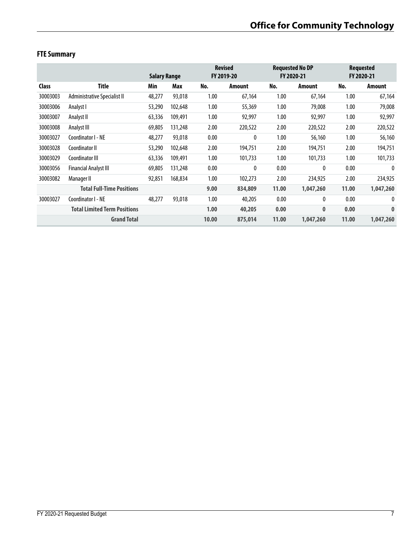### **FTE Summary**

|              |                                     | <b>Salary Range</b> |         |       | <b>Revised</b><br>FY 2019-20 |       | <b>Requested No DP</b><br>FY 2020-21 |       | <b>Requested</b><br>FY 2020-21 |
|--------------|-------------------------------------|---------------------|---------|-------|------------------------------|-------|--------------------------------------|-------|--------------------------------|
| <b>Class</b> | Title                               | Min                 | Max     | No.   | Amount                       | No.   | Amount                               | No.   | Amount                         |
| 30003003     | Administrative Specialist II        | 48,277              | 93,018  | 1.00  | 67,164                       | 1.00  | 67,164                               | 1.00  | 67,164                         |
| 30003006     | Analyst I                           | 53,290              | 102,648 | 1.00  | 55,369                       | 1.00  | 79,008                               | 1.00  | 79,008                         |
| 30003007     | Analyst II                          | 63,336              | 109,491 | 1.00  | 92,997                       | 1.00  | 92,997                               | 1.00  | 92,997                         |
| 30003008     | Analyst III                         | 69,805              | 131,248 | 2.00  | 220,522                      | 2.00  | 220,522                              | 2.00  | 220,522                        |
| 30003027     | Coordinator I - NE                  | 48,277              | 93,018  | 0.00  | 0                            | 1.00  | 56,160                               | 1.00  | 56,160                         |
| 30003028     | Coordinator II                      | 53,290              | 102,648 | 2.00  | 194,751                      | 2.00  | 194,751                              | 2.00  | 194,751                        |
| 30003029     | Coordinator III                     | 63,336              | 109,491 | 1.00  | 101,733                      | 1.00  | 101,733                              | 1.00  | 101,733                        |
| 30003056     | <b>Financial Analyst III</b>        | 69,805              | 131,248 | 0.00  | 0                            | 0.00  | 0                                    | 0.00  | $\mathbf{0}$                   |
| 30003082     | Manager II                          | 92,851              | 168,834 | 1.00  | 102,273                      | 2.00  | 234,925                              | 2.00  | 234,925                        |
|              | <b>Total Full-Time Positions</b>    |                     |         | 9.00  | 834,809                      | 11.00 | 1,047,260                            | 11.00 | 1,047,260                      |
| 30003027     | Coordinator I - NE                  | 48,277              | 93,018  | 1.00  | 40,205                       | 0.00  | 0                                    | 0.00  | 0                              |
|              | <b>Total Limited Term Positions</b> |                     |         | 1.00  | 40,205                       | 0.00  | $\bf{0}$                             | 0.00  | $\bf{0}$                       |
|              | <b>Grand Total</b>                  |                     |         | 10.00 | 875,014                      | 11.00 | 1,047,260                            | 11.00 | 1,047,260                      |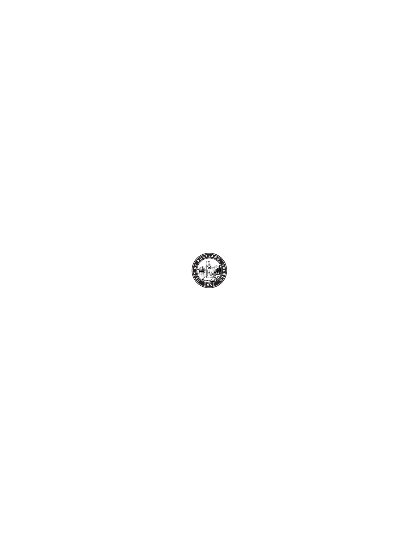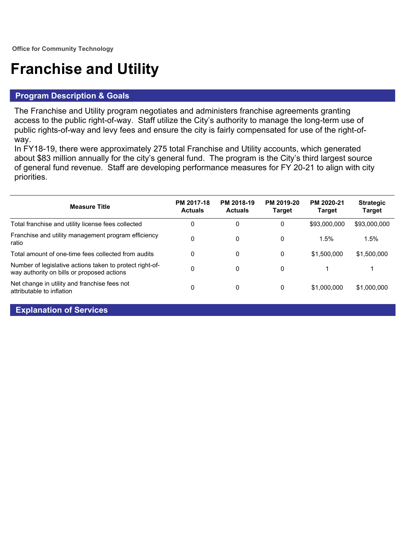## **Franchise and Utility**

### **Program Description & Goals**

The Franchise and Utility program negotiates and administers franchise agreements granting access to the public right-of-way. Staff utilize the City's authority to manage the long-term use of public rights-of-way and levy fees and ensure the city is fairly compensated for use of the right-ofway.

In FY18-19, there were approximately 275 total Franchise and Utility accounts, which generated about \$83 million annually for the city's general fund. The program is the City's third largest source of general fund revenue. Staff are developing performance measures for FY 20-21 to align with city priorities.

| <b>Measure Title</b>                                                                                   | PM 2017-18<br><b>Actuals</b> | PM 2018-19<br><b>Actuals</b> | PM 2019-20<br>Target | PM 2020-21<br><b>Target</b> | <b>Strategic</b><br>Target |
|--------------------------------------------------------------------------------------------------------|------------------------------|------------------------------|----------------------|-----------------------------|----------------------------|
| Total franchise and utility license fees collected                                                     | 0                            | 0                            | 0                    | \$93,000,000                | \$93,000,000               |
| Franchise and utility management program efficiency<br>ratio                                           | 0                            | 0                            | $\Omega$             | 1.5%                        | 1.5%                       |
| Total amount of one-time fees collected from audits                                                    | 0                            | 0                            | 0                    | \$1,500,000                 | \$1,500,000                |
| Number of legislative actions taken to protect right-of-<br>way authority on bills or proposed actions | 0                            | 0                            | $\Omega$             |                             |                            |
| Net change in utility and franchise fees not<br>attributable to inflation                              | 0                            | 0                            | 0                    | \$1,000,000                 | \$1,000,000                |

### **Explanation of Services**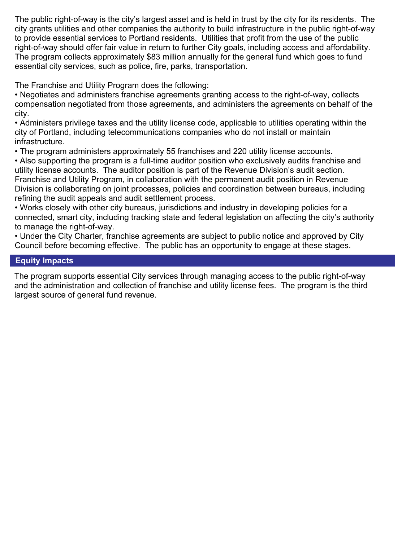The public right-of-way is the city's largest asset and is held in trust by the city for its residents. The city grants utilities and other companies the authority to build infrastructure in the public right-of-way to provide essential services to Portland residents. Utilities that profit from the use of the public right-of-way should offer fair value in return to further City goals, including access and affordability. The program collects approximately \$83 million annually for the general fund which goes to fund essential city services, such as police, fire, parks, transportation.

The Franchise and Utility Program does the following:

• Negotiates and administers franchise agreements granting access to the right-of-way, collects compensation negotiated from those agreements, and administers the agreements on behalf of the city.

• Administers privilege taxes and the utility license code, applicable to utilities operating within the city of Portland, including telecommunications companies who do not install or maintain infrastructure.

• The program administers approximately 55 franchises and 220 utility license accounts.

• Also supporting the program is a full-time auditor position who exclusively audits franchise and utility license accounts. The auditor position is part of the Revenue Division's audit section. Franchise and Utility Program, in collaboration with the permanent audit position in Revenue Division is collaborating on joint processes, policies and coordination between bureaus, including refining the audit appeals and audit settlement process.

• Works closely with other city bureaus, jurisdictions and industry in developing policies for a connected, smart city, including tracking state and federal legislation on affecting the city's authority to manage the right-of-way.

• Under the City Charter, franchise agreements are subject to public notice and approved by City Council before becoming effective. The public has an opportunity to engage at these stages.

### **Equity Impacts**

The program supports essential City services through managing access to the public right-of-way and the administration and collection of franchise and utility license fees. The program is the third largest source of general fund revenue.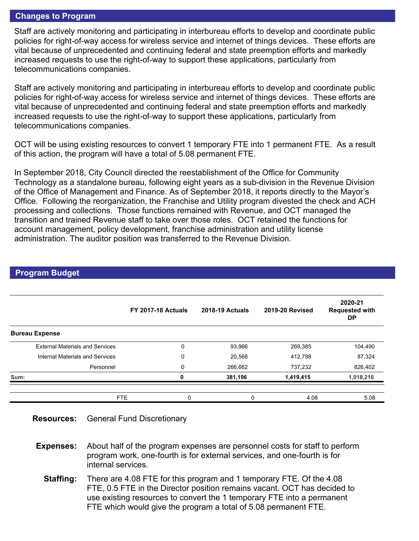#### **Changes to Program**

Staff are actively monitoring and participating in interbureau efforts to develop and coordinate public policies for right-of-way access for wireless service and internet of things devices. These efforts are vital because of unprecedented and continuing federal and state preemption efforts and markedly increased requests to use the right-of-way to support these applications, particularly from telecommunications companies.

Staff are actively monitoring and participating in interbureau efforts to develop and coordinate public policies for right-of-way access for wireless service and internet of things devices. These efforts are vital because of unprecedented and continuing federal and state preemption efforts and markedly increased requests to use the right-of-way to support these applications, particularly from telecommunications companies.

OCT will be using existing resources to convert 1 temporary FTE into 1 permanent FTE. As a result of this action, the program will have a total of 5.08 permanent FTE.

In September 2018, City Council directed the reestablishment of the Office for Community Technology as a standalone bureau, following eight years as a sub-division in the Revenue Division of the Office of Management and Finance. As of September 2018, it reports directly to the Mayor's Office. Following the reorganization, the Franchise and Utility program divested the check and ACH processing and collections. Those functions remained with Revenue, and OCT managed the transition and trained Revenue staff to take over those roles. OCT retained the functions for account management, policy development, franchise administration and utility license administration. The auditor position was transferred to the Revenue Division.

|                                        | <b>FY 2017-18 Actuals</b> | <b>2018-19 Actuals</b> | <b>2019-20 Revised</b> | 2020-21<br><b>Requested with</b><br><b>DP</b> |
|----------------------------------------|---------------------------|------------------------|------------------------|-----------------------------------------------|
| <b>Bureau Expense</b>                  |                           |                        |                        |                                               |
| <b>External Materials and Services</b> | 0                         | 93,966                 | 269,385                | 104,490                                       |
| Internal Materials and Services        | 0                         | 20,568                 | 412,798                | 87,324                                        |
| Personnel                              | 0                         | 266,662                | 737,232                | 826,402                                       |
| Sum:                                   | 0                         | 381,196                | 1,419,415              | 1,018,216                                     |
|                                        |                           |                        |                        |                                               |
| <b>FTE</b>                             | $\Omega$                  | 0                      | 4.08                   | 5.08                                          |

#### **Program Budget**

**Resources:** General Fund Discretionary

**Expenses:** About half of the program expenses are personnel costs for staff to perform program work, one-fourth is for external services, and one-fourth is for internal services.

**Staffing:** There are 4.08 FTE for this program and 1 temporary FTE. Of the 4.08 FTE, 0.5 FTE in the Director position remains vacant. OCT has decided to use existing resources to convert the 1 temporary FTE into a permanent FTE which would give the program a total of 5.08 permanent FTE.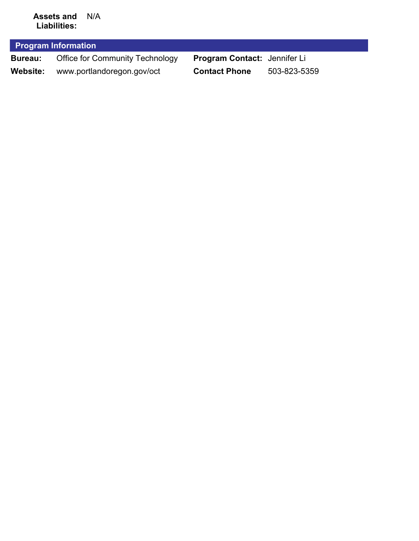| <b>Program Information</b> |                                        |                                     |              |  |  |  |
|----------------------------|----------------------------------------|-------------------------------------|--------------|--|--|--|
| Bureau:                    | <b>Office for Community Technology</b> | <b>Program Contact: Jennifer Li</b> |              |  |  |  |
| Website:                   | www.portlandoregon.gov/oct             | <b>Contact Phone</b>                | 503-823-5359 |  |  |  |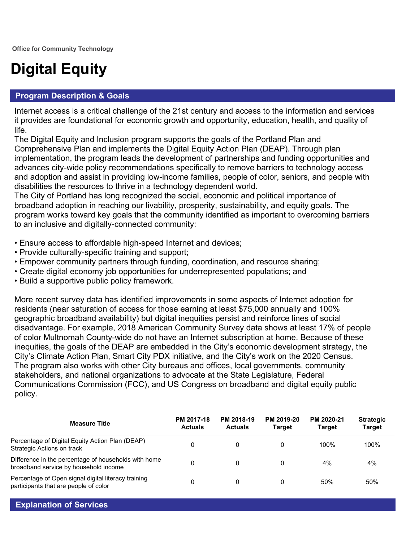**Office for Community Technology**

# **Digital Equity**

### **Program Description & Goals**

Internet access is a critical challenge of the 21st century and access to the information and services it provides are foundational for economic growth and opportunity, education, health, and quality of life.

The Digital Equity and Inclusion program supports the goals of the Portland Plan and Comprehensive Plan and implements the Digital Equity Action Plan (DEAP). Through plan implementation, the program leads the development of partnerships and funding opportunities and advances city-wide policy recommendations specifically to remove barriers to technology access and adoption and assist in providing low-income families, people of color, seniors, and people with disabilities the resources to thrive in a technology dependent world.

The City of Portland has long recognized the social, economic and political importance of broadband adoption in reaching our livability, prosperity, sustainability, and equity goals. The program works toward key goals that the community identified as important to overcoming barriers to an inclusive and digitally-connected community:

- Ensure access to affordable high-speed Internet and devices;
- Provide culturally-specific training and support;
- Empower community partners through funding, coordination, and resource sharing;
- Create digital economy job opportunities for underrepresented populations; and
- Build a supportive public policy framework.

More recent survey data has identified improvements in some aspects of Internet adoption for residents (near saturation of access for those earning at least \$75,000 annually and 100% geographic broadband availability) but digital inequities persist and reinforce lines of social disadvantage. For example, 2018 American Community Survey data shows at least 17% of people of color Multnomah County-wide do not have an Internet subscription at home. Because of these inequities, the goals of the DEAP are embedded in the City's economic development strategy, the City's Climate Action Plan, Smart City PDX initiative, and the City's work on the 2020 Census. The program also works with other City bureaus and offices, local governments, community stakeholders, and national organizations to advocate at the State Legislature, Federal Communications Commission (FCC), and US Congress on broadband and digital equity public policy.

| <b>Measure Title</b>                                                                          | PM 2017-18<br><b>Actuals</b> | PM 2018-19<br><b>Actuals</b> | PM 2019-20<br>Target | PM 2020-21<br><b>Target</b> | <b>Strategic</b><br><b>Target</b> |
|-----------------------------------------------------------------------------------------------|------------------------------|------------------------------|----------------------|-----------------------------|-----------------------------------|
| Percentage of Digital Equity Action Plan (DEAP)<br>Strategic Actions on track                 |                              |                              | 0                    | 100%                        | 100%                              |
| Difference in the percentage of households with home<br>broadband service by household income |                              |                              | 0                    | $4\%$                       | 4%                                |
| Percentage of Open signal digital literacy training<br>participants that are people of color  |                              |                              | 0                    | 50%                         | 50%                               |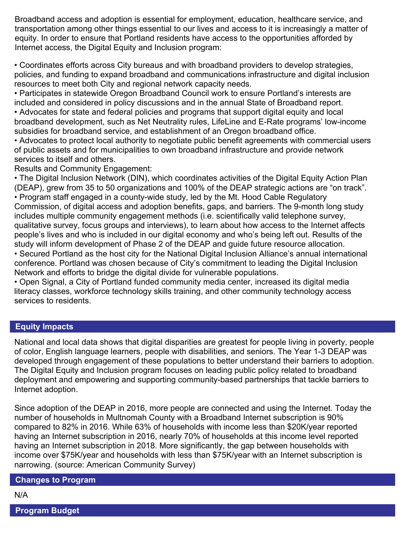Broadband access and adoption is essential for employment, education, healthcare service, and transportation among other things essential to our lives and access to it is increasingly a matter of equity. In order to ensure that Portland residents have access to the opportunities afforded by Internet access, the Digital Equity and Inclusion program:

• Coordinates efforts across City bureaus and with broadband providers to develop strategies, policies, and funding to expand broadband and communications infrastructure and digital inclusion resources to meet both City and regional network capacity needs.

• Participates in statewide Oregon Broadband Council work to ensure Portland's interests are included and considered in policy discussions and in the annual State of Broadband report.

• Advocates for state and federal policies and programs that support digital equity and local broadband development, such as Net Neutrality rules, LifeLine and E-Rate programs' low-income subsidies for broadband service, and establishment of an Oregon broadband office.

• Advocates to protect local authority to negotiate public benefit agreements with commercial users of public assets and for municipalities to own broadband infrastructure and provide network services to itself and others.

Results and Community Engagement:

• The Digital Inclusion Network (DIN), which coordinates activities of the Digital Equity Action Plan (DEAP), grew from 35 to 50 organizations and 100% of the DEAP strategic actions are "on track". • Program staff engaged in a county-wide study, led by the Mt. Hood Cable Regulatory

Commission, of digital access and adoption benefits, gaps, and barriers. The 9-month long study includes multiple community engagement methods (i.e. scientifically valid telephone survey, qualitative survey, focus groups and interviews), to learn about how access to the Internet affects people's lives and who is included in our digital economy and who's being left out. Results of the study will inform development of Phase 2 of the DEAP and guide future resource allocation.

• Secured Portland as the host city for the National Digital Inclusion Alliance's annual international conference. Portland was chosen because of City's commitment to leading the Digital Inclusion Network and efforts to bridge the digital divide for vulnerable populations.

• Open Signal, a City of Portland funded community media center, increased its digital media literacy classes, workforce technology skills training, and other community technology access services to residents.

### **Equity Impacts**

National and local data shows that digital disparities are greatest for people living in poverty, people of color, English language learners, people with disabilities, and seniors. The Year 1-3 DEAP was developed through engagement of these populations to better understand their barriers to adoption. The Digital Equity and Inclusion program focuses on leading public policy related to broadband deployment and empowering and supporting community-based partnerships that tackle barriers to Internet adoption.

Since adoption of the DEAP in 2016, more people are connected and using the Internet. Today the number of households in Multnomah County with a Broadband Internet subscription is 90% compared to 82% in 2016. While 63% of households with income less than \$20K/year reported having an Internet subscription in 2016, nearly 70% of households at this income level reported having an Internet subscription in 2018. More significantly, the gap between households with income over \$75K/year and households with less than \$75K/year with an Internet subscription is narrowing. (source: American Community Survey)

**Changes to Program**

N/A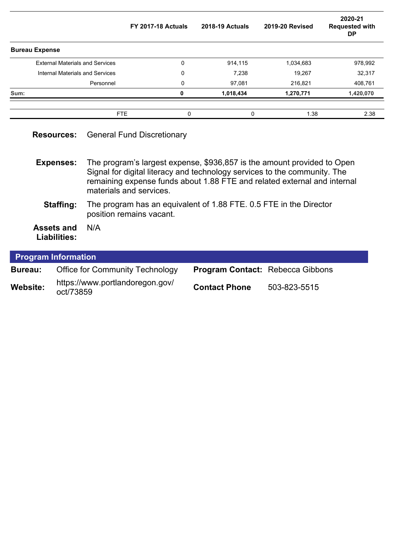|                                        | <b>FY 2017-18 Actuals</b> | <b>2018-19 Actuals</b> | <b>2019-20 Revised</b> | 2020-21<br><b>Requested with</b><br><b>DP</b> |
|----------------------------------------|---------------------------|------------------------|------------------------|-----------------------------------------------|
| <b>Bureau Expense</b>                  |                           |                        |                        |                                               |
| <b>External Materials and Services</b> | 0                         | 914,115                | 1,034,683              | 978,992                                       |
| Internal Materials and Services        | 0                         | 7,238                  | 19,267                 | 32,317                                        |
| Personnel                              | 0                         | 97,081                 | 216,821                | 408,761                                       |
| Sum:                                   | 0                         | 1,018,434              | 1,270,771              | 1,420,070                                     |
| FTE                                    |                           | 0                      | 1.38                   | 2.38                                          |

### **Resources:** General Fund Discretionary

- **Expenses:** The program's largest expense, \$936,857 is the amount provided to Open Signal for digital literacy and technology services to the community. The remaining expense funds about 1.88 FTE and related external and internal materials and services. **Staffing:** The program has an equivalent of 1.88 FTE. 0.5 FTE in the Director
	- position remains vacant.

**Assets and Liabilities:** N/A

| <b>Program Information</b> |                                              |                                         |              |  |  |  |
|----------------------------|----------------------------------------------|-----------------------------------------|--------------|--|--|--|
| <b>Bureau:</b>             | <b>Office for Community Technology</b>       | <b>Program Contact:</b> Rebecca Gibbons |              |  |  |  |
| <b>Website:</b>            | https://www.portlandoregon.gov/<br>oct/73859 | <b>Contact Phone</b>                    | 503-823-5515 |  |  |  |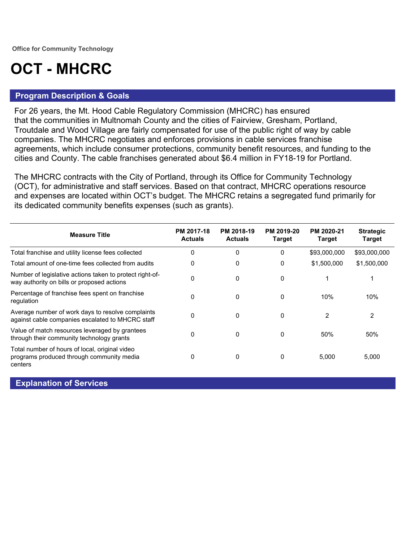# **OCT - MHCRC**

### **Program Description & Goals**

For 26 years, the Mt. Hood Cable Regulatory Commission (MHCRC) has ensured that the communities in Multnomah County and the cities of Fairview, Gresham, Portland, Troutdale and Wood Village are fairly compensated for use of the public right of way by cable companies. The MHCRC negotiates and enforces provisions in cable services franchise agreements, which include consumer protections, community benefit resources, and funding to the cities and County. The cable franchises generated about \$6.4 million in FY18-19 for Portland.

The MHCRC contracts with the City of Portland, through its Office for Community Technology (OCT), for administrative and staff services. Based on that contract, MHCRC operations resource and expenses are located within OCT's budget. The MHCRC retains a segregated fund primarily for its dedicated community benefits expenses (such as grants).

| <b>Measure Title</b>                                                                                   | PM 2017-18<br><b>Actuals</b> | PM 2018-19<br><b>Actuals</b> | PM 2019-20<br><b>Target</b> | PM 2020-21<br>Target | <b>Strategic</b><br><b>Target</b> |
|--------------------------------------------------------------------------------------------------------|------------------------------|------------------------------|-----------------------------|----------------------|-----------------------------------|
| Total franchise and utility license fees collected                                                     | 0                            | 0                            | 0                           | \$93,000,000         | \$93,000,000                      |
| Total amount of one-time fees collected from audits                                                    | 0                            | 0                            | 0                           | \$1,500,000          | \$1,500,000                       |
| Number of legislative actions taken to protect right-of-<br>way authority on bills or proposed actions | $\Omega$                     | 0                            | $\Omega$                    |                      |                                   |
| Percentage of franchise fees spent on franchise<br>regulation                                          | 0                            | 0                            | 0                           | 10%                  | 10%                               |
| Average number of work days to resolve complaints<br>against cable companies escalated to MHCRC staff  | $\Omega$                     | 0                            | 0                           | 2                    | 2                                 |
| Value of match resources leveraged by grantees<br>through their community technology grants            | 0                            | 0                            | $\Omega$                    | 50%                  | 50%                               |
| Total number of hours of local, original video<br>programs produced through community media<br>centers | 0                            | 0                            | 0                           | 5,000                | 5,000                             |

### **Explanation of Services**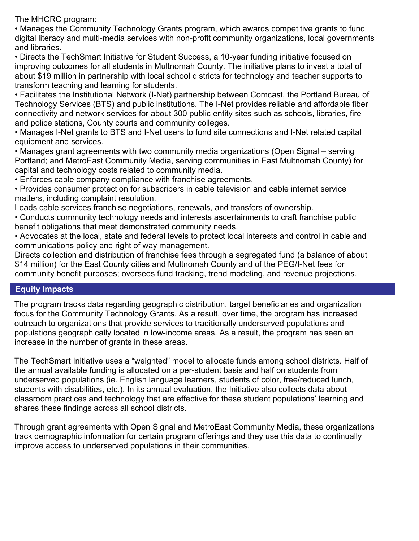The MHCRC program:

• Manages the Community Technology Grants program, which awards competitive grants to fund digital literacy and multi-media services with non-profit community organizations, local governments and libraries.

• Directs the TechSmart Initiative for Student Success, a 10-year funding initiative focused on improving outcomes for all students in Multnomah County. The initiative plans to invest a total of about \$19 million in partnership with local school districts for technology and teacher supports to transform teaching and learning for students.

• Facilitates the Institutional Network (I-Net) partnership between Comcast, the Portland Bureau of Technology Services (BTS) and public institutions. The I-Net provides reliable and affordable fiber connectivity and network services for about 300 public entity sites such as schools, libraries, fire and police stations, County courts and community colleges.

• Manages I-Net grants to BTS and I-Net users to fund site connections and I-Net related capital equipment and services.

• Manages grant agreements with two community media organizations (Open Signal – serving Portland; and MetroEast Community Media, serving communities in East Multnomah County) for capital and technology costs related to community media.

• Enforces cable company compliance with franchise agreements.

• Provides consumer protection for subscribers in cable television and cable internet service matters, including complaint resolution.

Leads cable services franchise negotiations, renewals, and transfers of ownership.

• Conducts community technology needs and interests ascertainments to craft franchise public benefit obligations that meet demonstrated community needs.

• Advocates at the local, state and federal levels to protect local interests and control in cable and communications policy and right of way management.

Directs collection and distribution of franchise fees through a segregated fund (a balance of about \$14 million) for the East County cities and Multnomah County and of the PEG/I-Net fees for community benefit purposes; oversees fund tracking, trend modeling, and revenue projections.

### **Equity Impacts**

The program tracks data regarding geographic distribution, target beneficiaries and organization focus for the Community Technology Grants. As a result, over time, the program has increased outreach to organizations that provide services to traditionally underserved populations and populations geographically located in low-income areas. As a result, the program has seen an increase in the number of grants in these areas.

The TechSmart Initiative uses a "weighted" model to allocate funds among school districts. Half of the annual available funding is allocated on a per-student basis and half on students from underserved populations (ie. English language learners, students of color, free/reduced lunch, students with disabilities, etc.). In its annual evaluation, the Initiative also collects data about classroom practices and technology that are effective for these student populations' learning and shares these findings across all school districts.

Through grant agreements with Open Signal and MetroEast Community Media, these organizations track demographic information for certain program offerings and they use this data to continually improve access to underserved populations in their communities.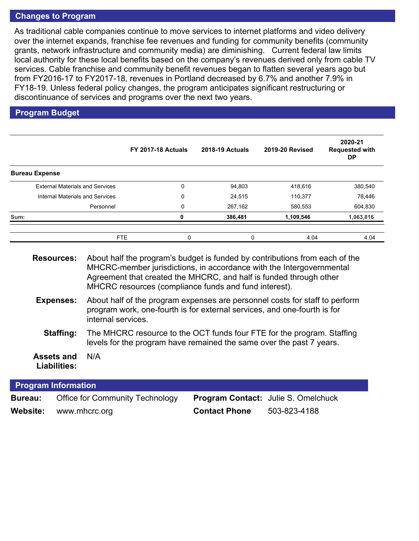#### **Changes to Program**

As traditional cable companies continue to move services to internet platforms and video delivery over the internet expands, franchise fee revenues and funding for community benefits (community grants, network infrastructure and community media) are diminishing. Current federal law limits local authority for these local benefits based on the company's revenues derived only from cable TV services. Cable franchise and community benefit revenues began to flatten several years ago but from FY2016-17 to FY2017-18, revenues in Portland decreased by 6.7% and another 7.9% in FY18-19. Unless federal policy changes, the program anticipates significant restructuring or discontinuance of services and programs over the next two years.

### **Program Budget**

|                                        | <b>FY 2017-18 Actuals</b> | <b>2018-19 Actuals</b> | <b>2019-20 Revised</b> | 2020-21<br><b>Requested with</b><br>DP |
|----------------------------------------|---------------------------|------------------------|------------------------|----------------------------------------|
| <b>Bureau Expense</b>                  |                           |                        |                        |                                        |
| <b>External Materials and Services</b> | $\mathbf 0$               | 94,803                 | 418,616                | 380,540                                |
| Internal Materials and Services        | 0                         | 24,515                 | 110,377                | 78,446                                 |
| Personnel                              | 0                         | 267,162                | 580,553                | 604,830                                |
| Sum:                                   | 0                         | 386,481                | 1,109,546              | 1,063,816                              |
|                                        |                           |                        |                        |                                        |
| <b>FTE</b>                             | 0                         | $\Omega$               | 4.04                   | 4.04                                   |

- **Resources:** About half the program's budget is funded by contributions from each of the MHCRC-member jurisdictions, in accordance with the Intergovernmental Agreement that created the MHCRC, and half is funded through other MHCRC resources (compliance funds and fund interest).
- **Expenses:** About half of the program expenses are personnel costs for staff to perform program work, one-fourth is for external services, and one-fourth is for internal services.
	- **Staffing:** The MHCRC resource to the OCT funds four FTE for the program. Staffing levels for the program have remained the same over the past 7 years.

**Assets and Liabilities:** N/A

| <b>Program Information</b> |                                        |                      |                                            |  |  |  |
|----------------------------|----------------------------------------|----------------------|--------------------------------------------|--|--|--|
| <b>Bureau:</b>             | <b>Office for Community Technology</b> |                      | <b>Program Contact:</b> Julie S. Omelchuck |  |  |  |
|                            | <b>Website:</b> www.mhcrc.org          | <b>Contact Phone</b> | 503-823-4188                               |  |  |  |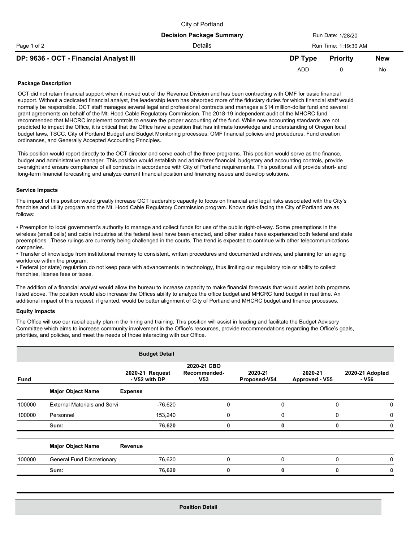|                                        | $5.57$ $5.7$ $5.57$             |                      |                 |            |  |  |
|----------------------------------------|---------------------------------|----------------------|-----------------|------------|--|--|
|                                        | <b>Decision Package Summary</b> | Run Date: 1/28/20    |                 |            |  |  |
| Page 1 of 2                            |                                 | Run Time: 1:19:30 AM |                 |            |  |  |
| DP: 9636 - OCT - Financial Analyst III |                                 | DP Type              | <b>Priority</b> | <b>New</b> |  |  |
|                                        |                                 | <b>ADD</b>           |                 | No         |  |  |

City of Portland

#### **Package Description**

OCT did not retain financial support when it moved out of the Revenue Division and has been contracting with OMF for basic financial support. Without a dedicated financial analyst, the leadership team has absorbed more of the fiduciary duties for which financial staff would normally be responsible. OCT staff manages several legal and professional contracts and manages a \$14 million-dollar fund and several grant agreements on behalf of the Mt. Hood Cable Regulatory Commission. The 2018-19 independent audit of the MHCRC fund recommended that MHCRC implement controls to ensure the proper accounting of the fund. While new accounting standards are not predicted to impact the Office, it is critical that the Office have a position that has intimate knowledge and understanding of Oregon local budget laws, TSCC, City of Portland Budget and Budget Monitoring processes, OMF financial policies and procedures, Fund creation ordinances, and Generally Accepted Accounting Principles.

This position would report directly to the OCT director and serve each of the three programs. This position would serve as the finance, budget and administrative manager. This position would establish and administer financial, budgetary and accounting controls, provide oversight and ensure compliance of all contracts in accordance with City of Portland requirements. This positional will provide short- and long-term financial forecasting and analyze current financial position and financing issues and develop solutions.

#### **Service Impacts**

The impact of this position would greatly increase OCT leadership capacity to focus on financial and legal risks associated with the City's franchise and utility program and the Mt. Hood Cable Regulatory Commission program. Known risks facing the City of Portland are as follows:

• Preemption to local government's authority to manage and collect funds for use of the public right-of-way. Some preemptions in the wireless (small cells) and cable industries at the federal level have been enacted, and other states have experienced both federal and state preemptions. These rulings are currently being challenged in the courts. The trend is expected to continue with other telecommunications companies.

• Transfer of knowledge from institutional memory to consistent, written procedures and documented archives, and planning for an aging workforce within the program.

• Federal (or state) regulation do not keep pace with advancements in technology, thus limiting our regulatory role or ability to collect franchise, license fees or taxes.

The addition of a financial analyst would allow the bureau to increase capacity to make financial forecasts that would assist both programs listed above. The position would also increase the Offices ability to analyze the office budget and MHCRC fund budget in real time. An additional impact of this request, if granted, would be better alignment of City of Portland and MHCRC budget and finance processes.

#### **Equity Impacts**

The Office will use our racial equity plan in the hiring and training. This position will assist in leading and facilitate the Budget Advisory Committee which aims to increase community involvement in the Office's resources, provide recommendations regarding the Office's goals, priorities, and policies, and meet the needs of those interacting with our Office.

|             |                                     | <b>Budget Detail</b>             |                                                |                         |                           |                          |
|-------------|-------------------------------------|----------------------------------|------------------------------------------------|-------------------------|---------------------------|--------------------------|
| <b>Fund</b> |                                     | 2020-21 Request<br>- V52 with DP | 2020-21 CBO<br>Recommended-<br>V <sub>53</sub> | 2020-21<br>Proposed-V54 | 2020-21<br>Approved - V55 | 2020-21 Adopted<br>- V56 |
|             | <b>Major Object Name</b>            | <b>Expense</b>                   |                                                |                         |                           |                          |
| 100000      | <b>External Materials and Servi</b> | $-76,620$                        | 0                                              | $\Omega$                | 0                         | 0                        |
| 100000      | Personnel                           | 153,240                          | 0                                              | 0                       | 0                         | 0                        |
|             | Sum:                                | 76,620                           | 0                                              | 0                       | 0                         |                          |
|             | <b>Major Object Name</b>            | Revenue                          |                                                |                         |                           |                          |
| 100000      | <b>General Fund Discretionary</b>   | 76,620                           | 0                                              | $\Omega$                | 0                         | 0                        |
|             | Sum:                                | 76,620                           | 0                                              | $\Omega$                | <sup>0</sup>              |                          |
|             |                                     |                                  |                                                |                         |                           |                          |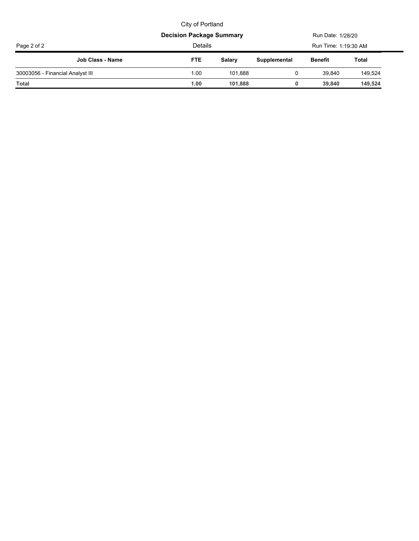|                                  |                  | City of Portland                |         |              |                   |                      |
|----------------------------------|------------------|---------------------------------|---------|--------------|-------------------|----------------------|
|                                  |                  | <b>Decision Package Summary</b> |         |              | Run Date: 1/28/20 |                      |
| Details<br>Page 2 of 2           |                  |                                 |         |              |                   | Run Time: 1:19:30 AM |
|                                  | Job Class - Name | <b>FTE</b>                      | Salary  | Supplemental | <b>Benefit</b>    | <b>Total</b>         |
| 30003056 - Financial Analyst III |                  | 1.00                            | 101.888 | 0            | 39.840            | 149,524              |
| Total                            |                  | 1.00                            | 101.888 | 0            | 39,840            | 149.524              |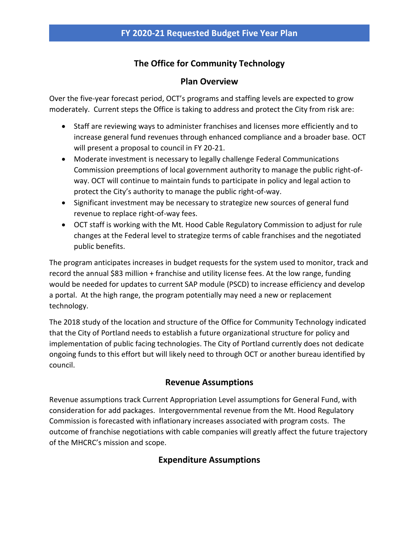### **The Office for Community Technology**

### **Plan Overview**

Over the five-year forecast period, OCT's programs and staffing levels are expected to grow moderately. Current steps the Office is taking to address and protect the City from risk are:

- Staff are reviewing ways to administer franchises and licenses more efficiently and to increase general fund revenues through enhanced compliance and a broader base. OCT will present a proposal to council in FY 20-21.
- Moderate investment is necessary to legally challenge Federal Communications Commission preemptions of local government authority to manage the public right-ofway. OCT will continue to maintain funds to participate in policy and legal action to protect the City's authority to manage the public right-of-way.
- Significant investment may be necessary to strategize new sources of general fund revenue to replace right-of-way fees.
- OCT staff is working with the Mt. Hood Cable Regulatory Commission to adjust for rule changes at the Federal level to strategize terms of cable franchises and the negotiated public benefits.

The program anticipates increases in budget requests for the system used to monitor, track and record the annual \$83 million + franchise and utility license fees. At the low range, funding would be needed for updates to current SAP module (PSCD) to increase efficiency and develop a portal. At the high range, the program potentially may need a new or replacement technology.

The 2018 study of the location and structure of the Office for Community Technology indicated that the City of Portland needs to establish a future organizational structure for policy and implementation of public facing technologies. The City of Portland currently does not dedicate ongoing funds to this effort but will likely need to through OCT or another bureau identified by council.

### **Revenue Assumptions**

Revenue assumptions track Current Appropriation Level assumptions for General Fund, with consideration for add packages. Intergovernmental revenue from the Mt. Hood Regulatory Commission is forecasted with inflationary increases associated with program costs. The outcome of franchise negotiations with cable companies will greatly affect the future trajectory of the MHCRC's mission and scope.

### **Expenditure Assumptions**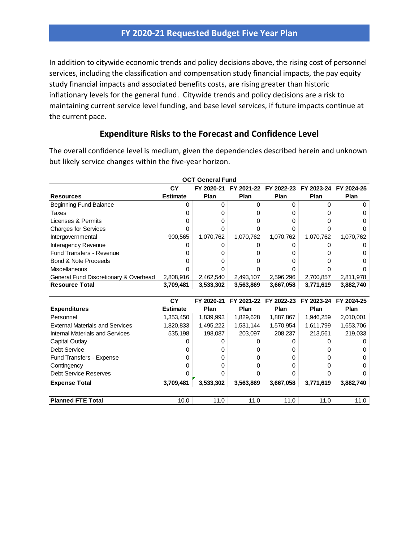### **FY 2020-21 Requested Budget Five Year Plan**

In addition to citywide economic trends and policy decisions above, the rising cost of personnel services, including the classification and compensation study financial impacts, the pay equity study financial impacts and associated benefits costs, are rising greater than historic inflationary levels for the general fund. Citywide trends and policy decisions are a risk to maintaining current service level funding, and base level services, if future impacts continue at the current pace.

### **Expenditure Risks to the Forecast and Confidence Level**

The overall confidence level is medium, given the dependencies described herein and unknown but likely service changes within the five-year horizon.

| <b>OCT General Fund</b>                                               |                 |             |             |             |           |             |  |  |  |  |  |  |
|-----------------------------------------------------------------------|-----------------|-------------|-------------|-------------|-----------|-------------|--|--|--|--|--|--|
| CΥ<br>2021-22<br>FY 2022-23<br>FY 2023-24<br>FY 2024-25<br>FY 2020-21 |                 |             |             |             |           |             |  |  |  |  |  |  |
| <b>Resources</b>                                                      | <b>Estimate</b> | <b>Plan</b> | <b>Plan</b> | <b>Plan</b> | Plan      | <b>Plan</b> |  |  |  |  |  |  |
| <b>Beginning Fund Balance</b>                                         | 0               | 0           |             | 0           |           |             |  |  |  |  |  |  |
| Taxes                                                                 |                 |             |             |             |           |             |  |  |  |  |  |  |
| Licenses & Permits                                                    |                 | 0           |             |             |           |             |  |  |  |  |  |  |
| <b>Charges for Services</b>                                           |                 |             |             |             |           |             |  |  |  |  |  |  |
| Intergovernmental                                                     | 900.565         | 1,070,762   | 1,070,762   | 1,070,762   | 1,070,762 | 1,070,762   |  |  |  |  |  |  |
| Interagency Revenue                                                   |                 |             |             |             |           |             |  |  |  |  |  |  |
| <b>Fund Transfers - Revenue</b>                                       |                 |             |             |             |           |             |  |  |  |  |  |  |
| Bond & Note Proceeds                                                  |                 |             |             |             |           |             |  |  |  |  |  |  |
| <b>Miscellaneous</b>                                                  |                 |             |             |             |           |             |  |  |  |  |  |  |
| General Fund Discretionary & Overhead                                 | 2,808,916       | 2,462,540   | 2,493,107   | 2,596,296   | 2,700,857 | 2,811,978   |  |  |  |  |  |  |
| <b>Resource Total</b>                                                 | 3,709,481       | 3,533,302   | 3,563,869   | 3,667,058   | 3,771,619 | 3,882,740   |  |  |  |  |  |  |

|                                        | CY<br>FY 2020-21 |           | FY 2022-23<br>FY 2021-22 |           | FY 2023-24  | FY 2024-25  |
|----------------------------------------|------------------|-----------|--------------------------|-----------|-------------|-------------|
| <b>Expenditures</b>                    | <b>Estimate</b>  | Plan      | Plan                     | Plan      | <b>Plan</b> | <b>Plan</b> |
| Personnel                              | 1,353,450        | 1,839,993 | 1,829,628                | 1,887,867 | 1,946,259   | 2,010,001   |
| <b>External Materials and Services</b> | 1,820,833        | 1,495,222 | 1,531,144                | 1,570,954 | 1,611,799   | 1,653,706   |
| Internal Materials and Services        | 535.198          | 198.087   | 203.097                  | 208.237   | 213.561     | 219.033     |
| Capital Outlay                         |                  | 0         |                          | Ω         |             | 0           |
| Debt Service                           | 0                | 0         |                          | 0         |             | 0           |
| Fund Transfers - Expense               | 0                | 0         |                          | 0         | O           | 0           |
| Contingency                            | 0                | 0         |                          | 0         |             | 0           |
| <b>Debt Service Reserves</b>           | 0                | 0         |                          | 0         |             | 0           |
| <b>Expense Total</b>                   | 3,709,481        | 3,533,302 | 3,563,869                | 3,667,058 | 3,771,619   | 3,882,740   |
| <b>Planned FTE Total</b>               | 10.0             | 11.0      | 11.0                     | 11.0      | 11.0        | 11.0        |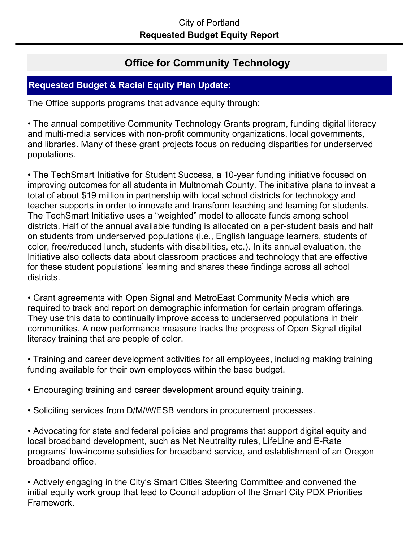## **Office for Community Technology**

### **Requested Budget & Racial Equity Plan Update:**

The Office supports programs that advance equity through:

• The annual competitive Community Technology Grants program, funding digital literacy and multi-media services with non-profit community organizations, local governments, and libraries. Many of these grant projects focus on reducing disparities for underserved populations.

• The TechSmart Initiative for Student Success, a 10-year funding initiative focused on improving outcomes for all students in Multnomah County. The initiative plans to invest a total of about \$19 million in partnership with local school districts for technology and teacher supports in order to innovate and transform teaching and learning for students. The TechSmart Initiative uses a "weighted" model to allocate funds among school districts. Half of the annual available funding is allocated on a per-student basis and half on students from underserved populations (i.e., English language learners, students of color, free/reduced lunch, students with disabilities, etc.). In its annual evaluation, the Initiative also collects data about classroom practices and technology that are effective for these student populations' learning and shares these findings across all school districts.

• Grant agreements with Open Signal and MetroEast Community Media which are required to track and report on demographic information for certain program offerings. They use this data to continually improve access to underserved populations in their communities. A new performance measure tracks the progress of Open Signal digital literacy training that are people of color.

• Training and career development activities for all employees, including making training funding available for their own employees within the base budget.

- Encouraging training and career development around equity training.
- Soliciting services from D/M/W/ESB vendors in procurement processes.

• Advocating for state and federal policies and programs that support digital equity and local broadband development, such as Net Neutrality rules, LifeLine and E-Rate programs' low-income subsidies for broadband service, and establishment of an Oregon broadband office.

• Actively engaging in the City's Smart Cities Steering Committee and convened the initial equity work group that lead to Council adoption of the Smart City PDX Priorities Framework.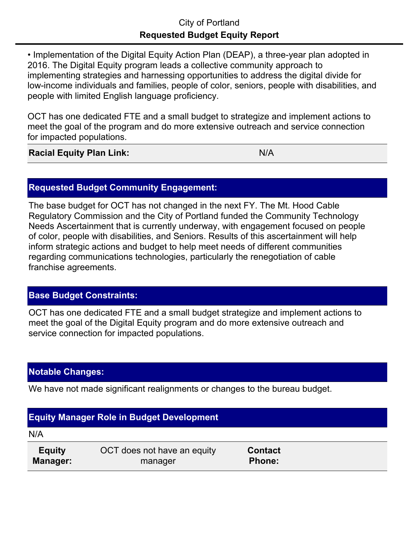### City of Portland **Requested Budget Equity Report**

• Implementation of the Digital Equity Action Plan (DEAP), a three-year plan adopted in 2016. The Digital Equity program leads a collective community approach to implementing strategies and harnessing opportunities to address the digital divide for low-income individuals and families, people of color, seniors, people with disabilities, and people with limited English language proficiency.

OCT has one dedicated FTE and a small budget to strategize and implement actions to meet the goal of the program and do more extensive outreach and service connection for impacted populations.

### **Racial Equity Plan Link:** N/A

### **Requested Budget Community Engagement:**

The base budget for OCT has not changed in the next FY. The Mt. Hood Cable Regulatory Commission and the City of Portland funded the Community Technology Needs Ascertainment that is currently underway, with engagement focused on people of color, people with disabilities, and Seniors. Results of this ascertainment will help inform strategic actions and budget to help meet needs of different communities regarding communications technologies, particularly the renegotiation of cable franchise agreements.

### **Base Budget Constraints:**

OCT has one dedicated FTE and a small budget strategize and implement actions to meet the goal of the Digital Equity program and do more extensive outreach and service connection for impacted populations.

### **Notable Changes:**

We have not made significant realignments or changes to the bureau budget.

### **Equity Manager Role in Budget Development**

N/A

| <b>Equity</b> | OCT does not have an equity |
|---------------|-----------------------------|
| Manager:      | manager                     |

**Contact Phone:**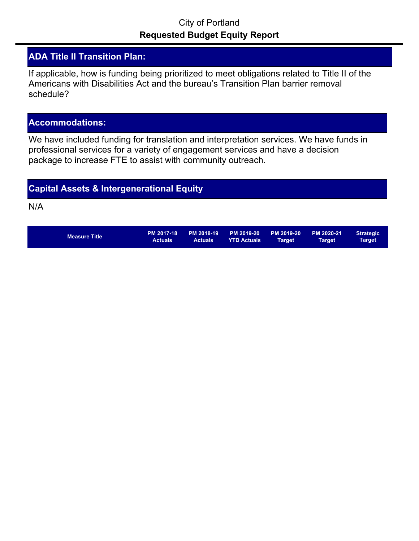### City of Portland **Requested Budget Equity Report**

### **ADA Title II Transition Plan:**

If applicable, how is funding being prioritized to meet obligations related to Title II of the Americans with Disabilities Act and the bureau's Transition Plan barrier removal schedule?

### **Accommodations:**

We have included funding for translation and interpretation services. We have funds in professional services for a variety of engagement services and have a decision package to increase FTE to assist with community outreach.

### **Capital Assets & Intergenerational Equity**

N/A

| <b>Measure Title</b> | PM 2017-18<br><b>Actuals</b> | <b>Actuals</b> | PM 2018-19 PM 2019-20<br><b>YTD Actuals</b> | <b>PM 2019-20</b><br><b>Target</b> | <b>PM 2020-21</b><br>Target | <b>Strategic</b><br><b>Target</b> |
|----------------------|------------------------------|----------------|---------------------------------------------|------------------------------------|-----------------------------|-----------------------------------|
|                      |                              |                |                                             |                                    |                             |                                   |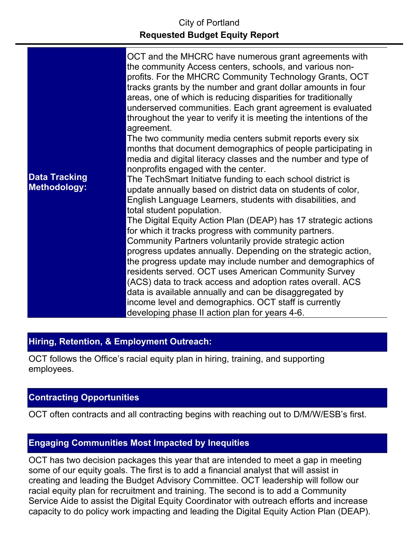### City of Portland **Requested Budget Equity Report**

| <b>Data Tracking</b><br><b>Methodology:</b> | OCT and the MHCRC have numerous grant agreements with<br>the community Access centers, schools, and various non-<br>profits. For the MHCRC Community Technology Grants, OCT<br>tracks grants by the number and grant dollar amounts in four<br>areas, one of which is reducing disparities for traditionally<br>underserved communities. Each grant agreement is evaluated<br>throughout the year to verify it is meeting the intentions of the<br>agreement.<br>The two community media centers submit reports every six<br>months that document demographics of people participating in<br>media and digital literacy classes and the number and type of<br>nonprofits engaged with the center.<br>The TechSmart Initiatve funding to each school district is<br>update annually based on district data on students of color,<br>English Language Learners, students with disabilities, and<br>total student population.<br>The Digital Equity Action Plan (DEAP) has 17 strategic actions<br>for which it tracks progress with community partners.<br>Community Partners voluntarily provide strategic action<br>progress updates annually. Depending on the strategic action,<br>the progress update may include number and demographics of<br>residents served. OCT uses American Community Survey<br>(ACS) data to track access and adoption rates overall. ACS<br>data is available annually and can be disaggregated by<br>income level and demographics. OCT staff is currently<br>developing phase II action plan for years 4-6. |
|---------------------------------------------|--------------------------------------------------------------------------------------------------------------------------------------------------------------------------------------------------------------------------------------------------------------------------------------------------------------------------------------------------------------------------------------------------------------------------------------------------------------------------------------------------------------------------------------------------------------------------------------------------------------------------------------------------------------------------------------------------------------------------------------------------------------------------------------------------------------------------------------------------------------------------------------------------------------------------------------------------------------------------------------------------------------------------------------------------------------------------------------------------------------------------------------------------------------------------------------------------------------------------------------------------------------------------------------------------------------------------------------------------------------------------------------------------------------------------------------------------------------------------------------------------------------------------------------------|

### **Hiring, Retention, & Employment Outreach:**

OCT follows the Office's racial equity plan in hiring, training, and supporting employees.

### **Contracting Opportunities**

OCT often contracts and all contracting begins with reaching out to D/M/W/ESB's first.

### **Engaging Communities Most Impacted by Inequities**

OCT has two decision packages this year that are intended to meet a gap in meeting some of our equity goals. The first is to add a financial analyst that will assist in creating and leading the Budget Advisory Committee. OCT leadership will follow our racial equity plan for recruitment and training. The second is to add a Community Service Aide to assist the Digital Equity Coordinator with outreach efforts and increase capacity to do policy work impacting and leading the Digital Equity Action Plan (DEAP).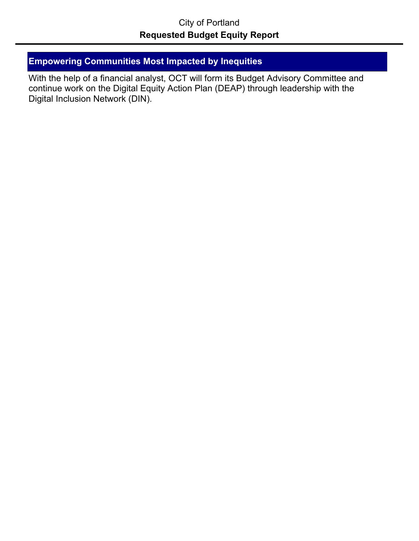### **Empowering Communities Most Impacted by Inequities**

With the help of a financial analyst, OCT will form its Budget Advisory Committee and continue work on the Digital Equity Action Plan (DEAP) through leadership with the Digital Inclusion Network (DIN).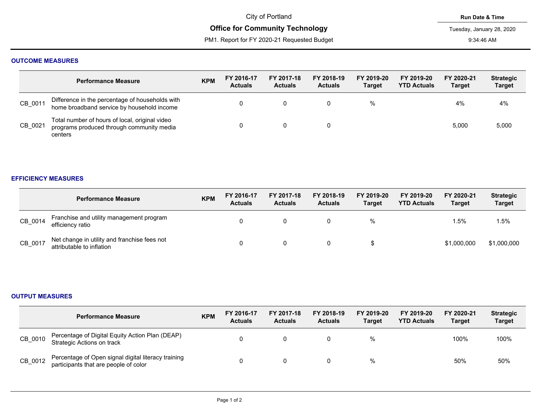### **Office for Community Technology Tuesday, January 28, 2020**

PM1. Report for FY 2020-21 Requested Budget 9:34:46 AM

#### **OUTCOME MEASURES**

|         | <b>Performance Measure</b>                                                                             | <b>KPM</b> | FY 2016-17<br><b>Actuals</b> | FY 2017-18<br><b>Actuals</b> | FY 2018-19<br><b>Actuals</b> | FY 2019-20<br><b>Target</b> | FY 2019-20<br><b>YTD Actuals</b> | FY 2020-21<br><b>Target</b> | <b>Strategic</b><br><b>Target</b> |
|---------|--------------------------------------------------------------------------------------------------------|------------|------------------------------|------------------------------|------------------------------|-----------------------------|----------------------------------|-----------------------------|-----------------------------------|
| CB_0011 | Difference in the percentage of households with<br>home broadband service by household income          |            |                              |                              |                              | %                           |                                  | 4%                          | 4%                                |
| CB 0021 | Total number of hours of local, original video<br>programs produced through community media<br>centers |            |                              |                              |                              |                             |                                  | 5.000                       | 5,000                             |

#### **EFFICIENCY MEASURES**

|         | <b>Performance Measure</b>                                                | <b>KPM</b> | FY 2016-17<br><b>Actuals</b> | FY 2017-18<br><b>Actuals</b> | FY 2018-19<br><b>Actuals</b> | FY 2019-20<br><b>Target</b> | FY 2019-20<br><b>YTD Actuals</b> | FY 2020-21<br><b>Target</b> | <b>Strategic</b><br><b>Target</b> |
|---------|---------------------------------------------------------------------------|------------|------------------------------|------------------------------|------------------------------|-----------------------------|----------------------------------|-----------------------------|-----------------------------------|
| CB_0014 | Franchise and utility management program<br>efficiency ratio              |            |                              |                              |                              | %                           |                                  | 1.5%                        | $1.5\%$                           |
| CB_0017 | Net change in utility and franchise fees not<br>attributable to inflation |            |                              |                              |                              |                             |                                  | \$1,000,000                 | \$1,000,000                       |

#### **OUTPUT MEASURES**

|         | <b>Performance Measure</b>                                                                   | <b>KPM</b> | FY 2016-17<br><b>Actuals</b> | FY 2017-18<br><b>Actuals</b> | FY 2018-19<br><b>Actuals</b> | FY 2019-20<br><b>Target</b> | FY 2019-20<br><b>YTD Actuals</b> | FY 2020-21<br><b>Target</b> | <b>Strategic</b><br><b>Target</b> |
|---------|----------------------------------------------------------------------------------------------|------------|------------------------------|------------------------------|------------------------------|-----------------------------|----------------------------------|-----------------------------|-----------------------------------|
| CB_0010 | Percentage of Digital Equity Action Plan (DEAP)<br>Strategic Actions on track                |            |                              |                              |                              | $\%$                        |                                  | 100%                        | 100%                              |
| CB_0012 | Percentage of Open signal digital literacy training<br>participants that are people of color |            |                              |                              |                              | %                           |                                  | 50%                         | 50%                               |